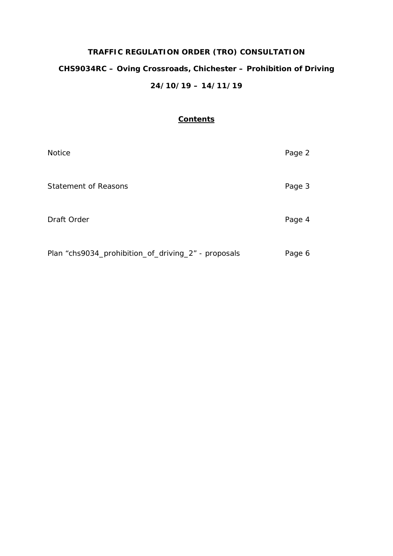# **TRAFFIC REGULATION ORDER (TRO) CONSULTATION CHS9034RC – Oving Crossroads, Chichester – Prohibition of Driving 24/10/19 – 14/11/19**

# **Contents**

| <b>Notice</b>                                       | Page 2 |
|-----------------------------------------------------|--------|
| <b>Statement of Reasons</b>                         | Page 3 |
| Draft Order                                         | Page 4 |
| Plan "chs9034_prohibition_of_driving_2" - proposals | Page 6 |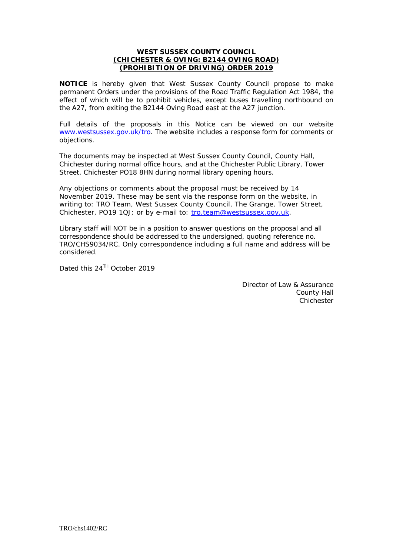# **WEST SUSSEX COUNTY COUNCIL (CHICHESTER & OVING: B2144 OVING ROAD) (PROHIBITION OF DRIVING) ORDER 2019**

**NOTICE** is hereby given that West Sussex County Council propose to make permanent Orders under the provisions of the Road Traffic Regulation Act 1984, the effect of which will be to prohibit vehicles, except buses travelling northbound on the A27, from exiting the B2144 Oving Road east at the A27 junction.

Full details of the proposals in this Notice can be viewed on our website [www.westsussex.gov.uk/tro.](http://www.westsussex.gov.uk/tro) The website includes a response form for comments or objections.

The documents may be inspected at West Sussex County Council, County Hall, Chichester during normal office hours, and at the Chichester Public Library, Tower Street, Chichester PO18 8HN during normal library opening hours.

Any objections or comments about the proposal must be received by 14 November 2019. These may be sent via the response form on the website, in writing to: TRO Team, West Sussex County Council, The Grange, Tower Street, Chichester, PO19 1QJ; or by e-mail to: [tro.team@westsussex.gov.uk.](mailto:tro.team@westsussex.gov.uk)

Library staff will NOT be in a position to answer questions on the proposal and all correspondence should be addressed to the undersigned, quoting reference no. TRO/CHS9034/RC. Only correspondence including a full name and address will be considered.

Dated this 24<sup>TH</sup> October 2019

Director of Law & Assurance County Hall **Chichester**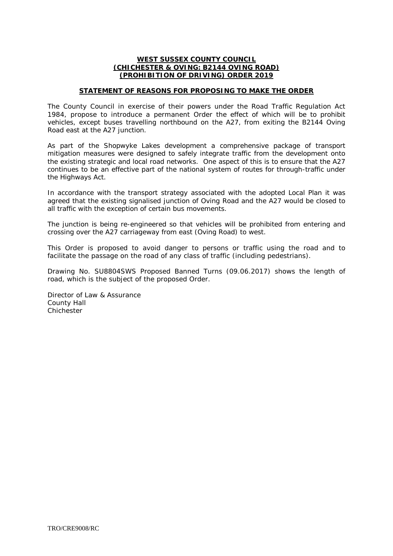#### **WEST SUSSEX COUNTY COUNCIL (CHICHESTER & OVING: B2144 OVING ROAD) (PROHIBITION OF DRIVING) ORDER 2019**

#### **STATEMENT OF REASONS FOR PROPOSING TO MAKE THE ORDER**

The County Council in exercise of their powers under the Road Traffic Regulation Act 1984, propose to introduce a permanent Order the effect of which will be to prohibit vehicles, except buses travelling northbound on the A27, from exiting the B2144 Oving Road east at the A27 junction.

As part of the Shopwyke Lakes development a comprehensive package of transport mitigation measures were designed to safely integrate traffic from the development onto the existing strategic and local road networks. One aspect of this is to ensure that the A27 continues to be an effective part of the national system of routes for through-traffic under the Highways Act.

In accordance with the transport strategy associated with the adopted Local Plan it was agreed that the existing signalised junction of Oving Road and the A27 would be closed to all traffic with the exception of certain bus movements.

The junction is being re-engineered so that vehicles will be prohibited from entering and crossing over the A27 carriageway from east (Oving Road) to west.

This Order is proposed to avoid danger to persons or traffic using the road and to facilitate the passage on the road of any class of traffic (including pedestrians).

Drawing No. SU8804SWS Proposed Banned Turns (09.06.2017) shows the length of road, which is the subject of the proposed Order.

Director of Law & Assurance County Hall Chichester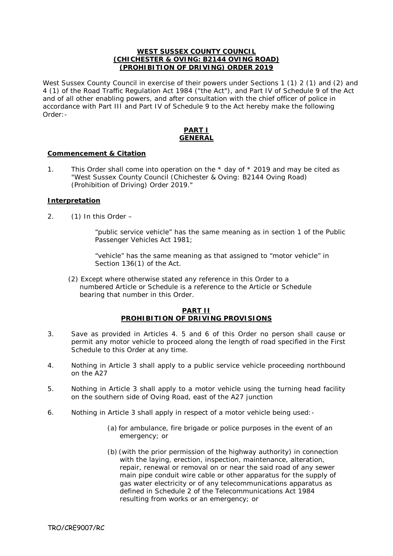#### **WEST SUSSEX COUNTY COUNCIL (CHICHESTER & OVING: B2144 OVING ROAD) (PROHIBITION OF DRIVING) ORDER 2019**

West Sussex County Council in exercise of their powers under Sections 1 (1) 2 (1) and (2) and 4 (1) of the Road Traffic Regulation Act 1984 ("the Act"), and Part IV of Schedule 9 of the Act and of all other enabling powers, and after consultation with the chief officer of police in accordance with Part III and Part IV of Schedule 9 to the Act hereby make the following Order:-

#### **PART I GENERAL**

# **Commencement & Citation**

1. This Order shall come into operation on the \* day of \* 2019 and may be cited as "West Sussex County Council (Chichester & Oving: B2144 Oving Road) (Prohibition of Driving) Order 2019."

#### **Interpretation**

2. (1) In this Order –

"public service vehicle" has the same meaning as in section 1 of the Public Passenger Vehicles Act 1981;

"vehicle" has the same meaning as that assigned to "motor vehicle" in Section 136(1) of the Act.

 (2) Except where otherwise stated any reference in this Order to a numbered Article or Schedule is a reference to the Article or Schedule bearing that number in this Order.

# **PART II PROHIBITION OF DRIVING PROVISIONS**

- 3. Save as provided in Articles 4. 5 and 6 of this Order no person shall cause or permit any motor vehicle to proceed along the length of road specified in the First Schedule to this Order at any time.
- 4. Nothing in Article 3 shall apply to a public service vehicle proceeding northbound on the A27
- 5. Nothing in Article 3 shall apply to a motor vehicle using the turning head facility on the southern side of Oving Road, east of the A27 junction
- 6. Nothing in Article 3 shall apply in respect of a motor vehicle being used:-
	- (a) for ambulance, fire brigade or police purposes in the event of an emergency; or
	- (b) (with the prior permission of the highway authority) in connection with the laying, erection, inspection, maintenance, alteration, repair, renewal or removal on or near the said road of any sewer main pipe conduit wire cable or other apparatus for the supply of gas water electricity or of any telecommunications apparatus as defined in Schedule 2 of the Telecommunications Act 1984 resulting from works or an emergency; or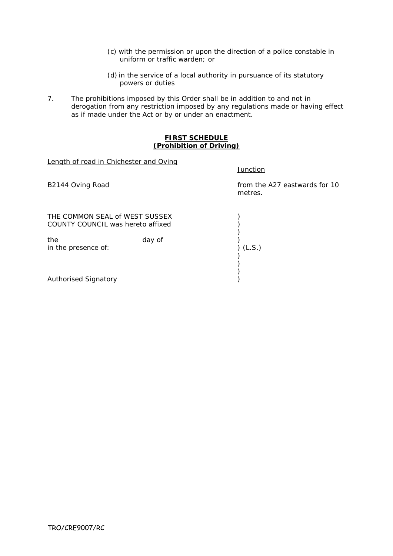(c) with the permission or upon the direction of a police constable in uniform or traffic warden; or

**Junction** 

- (d) in the service of a local authority in pursuance of its statutory powers or duties
- 7. The prohibitions imposed by this Order shall be in addition to and not in derogation from any restriction imposed by any regulations made or having effect as if made under the Act or by or under an enactment.

#### **FIRST SCHEDULE (Prohibition of Driving)**

Length of road in Chichester and Oving

B2144 Oving Road **from the A27 eastwards for 10** metres. THE COMMON SEAL of WEST SUSSEX (2008) COUNTY COUNCIL was hereto affixed  $($ )<br>) the day of (L.S.) day of (L.S.) in the presence of: ) )  $\begin{matrix} 1 \\ 2 \end{matrix}$ Authorised Signatory )